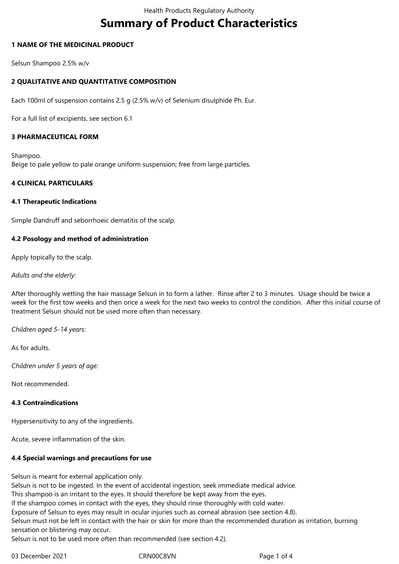# **Summary of Product Characteristics**

# **1 NAME OF THE MEDICINAL PRODUCT**

Selsun Shampoo 2.5% w/v

# **2 QUALITATIVE AND QUANTITATIVE COMPOSITION**

Each 100ml of suspension contains 2.5 g (2.5% w/v) of Selenium disulphide Ph. Eur.

For a full list of excipients, see section 6.1

#### **3 PHARMACEUTICAL FORM**

Shampoo. Beige to pale yellow to pale orange uniform suspension; free from large particles.

# **4 CLINICAL PARTICULARS**

#### **4.1 Therapeutic Indications**

Simple Dandruff and seborrhoeic dematitis of the scalp.

#### **4.2 Posology and method of administration**

Apply topically to the scalp.

#### *Adults and the elderly:*

After thoroughly wetting the hair massage Selsun in to form a lather. Rinse after 2 to 3 minutes. Usage should be twice a week for the first tow weeks and then once a week for the next two weeks to control the condition. After this initial course of treatment Selsun should not be used more often than necessary.

*Children aged 5-14 years:*

As for adults.

*Children under 5 years of age:*

Not recommended.

#### **4.3 Contraindications**

Hypersensitivity to any of the ingredients.

Acute, severe inflammation of the skin.

#### **4.4 Special warnings and precautions for use**

Selsun is meant for external application only.

Selsun is not to be ingested. In the event of accidental ingestion, seek immediate medical advice.

This shampoo is an irritant to the eyes. It should therefore be kept away from the eyes.

If the shampoo comes in contact with the eyes, they should rinse thoroughly with cold water.

Exposure of Selsun to eyes may result in ocular injuries such as corneal abrasion (see section 4.8).

Selsun must not be left in contact with the hair or skin for more than the recommended duration as irritation, burning sensation or blistering may occur.

Selsun is not to be used more often than recommended (see section 4.2).

03 December 2021 CRN00C8VN Page 1 of 4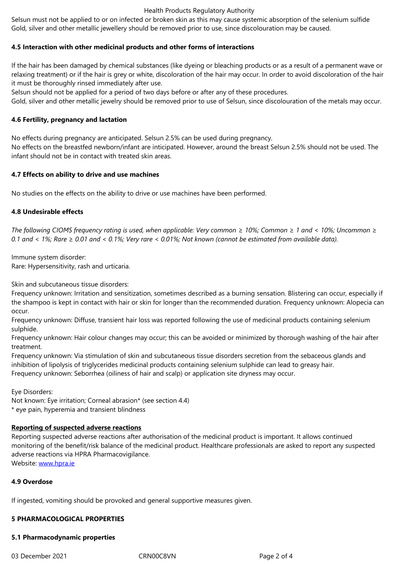#### **4.5 Interaction with other medicinal products and other forms of interactions**

If the hair has been damaged by chemical substances (like dyeing or bleaching products or as a result of a permanent wave or relaxing treatment) or if the hair is grey or white, discoloration of the hair may occur. In order to avoid discoloration of the hair it must be thoroughly rinsed immediately after use.

Selsun should not be applied for a period of two days before or after any of these procedures.

Gold, silver and other metallic jewelry should be removed prior to use of Selsun, since discolouration of the metals may occur.

# **4.6 Fertility, pregnancy and lactation**

No effects during pregnancy are anticipated. Selsun 2.5% can be used during pregnancy.

No effects on the breastfed newborn/infant are inticipated. However, around the breast Selsun 2.5% should not be used. The infant should not be in contact with treated skin areas.

#### **4.7 Effects on ability to drive and use machines**

No studies on the effects on the ability to drive or use machines have been performed.

# **4.8 Undesirable effects**

*The following CIOMS frequency rating is used, when applicable: Very common* ≥ *10%; Common* ≥ *1 and* < *10%; Uncommon* ≥ *0.1 and* < *1%; Rare* ≥ *0.01 and* < *0.1%; Very rare* < *0.01%; Not known (cannot be estimated from available data).* 

Immune system disorder: Rare: Hypersensitivity, rash and urticaria.

Skin and subcutaneous tissue disorders:

Frequency unknown: Irritation and sensitization, sometimes described as a burning sensation. Blistering can occur, especially if the shampoo is kept in contact with hair or skin for longer than the recommended duration. Frequency unknown: Alopecia can occur.

Frequency unknown: Diffuse, transient hair loss was reported following the use of medicinal products containing selenium sulphide.

Frequency unknown: Hair colour changes may occur; this can be avoided or minimized by thorough washing of the hair after treatment.

Frequency unknown: Via stimulation of skin and subcutaneous tissue disorders secretion from the sebaceous glands and inhibition of lipolysis of triglycerides medicinal products containing selenium sulphide can lead to greasy hair. Frequency unknown: Seborrhea (oiliness of hair and scalp) or application site dryness may occur.

Eye Disorders:

Not known: Eye irritation; Corneal abrasion\* (see section 4.4) \* eye pain, hyperemia and transient blindness

# **Reporting of suspected adverse reactions**

Reporting suspected adverse reactions after authorisation of the medicinal product is important. It allows continued monitoring of the benefit/risk balance of the medicinal product. Healthcare professionals are asked to report any suspected adverse reactions via HPRA Pharmacovigilance. Website: www.hpra.ie

## **4.9 Overdose**

If ingeste[d, vomiting s](http://www.hpra.ie/)hould be provoked and general supportive measures given.

#### **5 PHARMACOLOGICAL PROPERTIES**

#### **5.1 Pharmacodynamic properties**

03 December 2021 CRN00C8VN CRNOOC8VN Page 2 of 4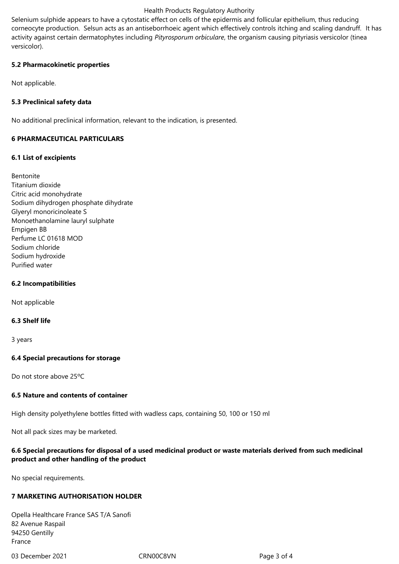#### Health Products Regulatory Authority

Selenium sulphide appears to have a cytostatic effect on cells of the epidermis and follicular epithelium, thus reducing corneocyte production. Selsun acts as an antiseborrhoeic agent which effectively controls itching and scaling dandruff. It has activity against certain dermatophytes including *Pityrosporum orbiculare*, the organism causing pityriasis versicolor (tinea versicolor).

#### **5.2 Pharmacokinetic properties**

Not applicable.

# **5.3 Preclinical safety data**

No additional preclinical information, relevant to the indication, is presented.

# **6 PHARMACEUTICAL PARTICULARS**

# **6.1 List of excipients**

Bentonite Titanium dioxide Citric acid monohydrate Sodium dihydrogen phosphate dihydrate Glyeryl monoricinoleate S Monoethanolamine lauryl sulphate Empigen BB Perfume LC 01618 MOD Sodium chloride Sodium hydroxide Purified water

#### **6.2 Incompatibilities**

Not applicable

#### **6.3 Shelf life**

3 years

#### **6.4 Special precautions for storage**

Do not store above 25ºC

#### **6.5 Nature and contents of container**

High density polyethylene bottles fitted with wadless caps, containing 50, 100 or 150 ml

Not all pack sizes may be marketed.

# **6.6 Special precautions for disposal of a used medicinal product or waste materials derived from such medicinal product and other handling of the product**

No special requirements.

#### **7 MARKETING AUTHORISATION HOLDER**

Opella Healthcare France SAS T/A Sanofi 82 Avenue Raspail 94250 Gentilly France

03 December 2021 CRN00C8VN Page 3 of 4